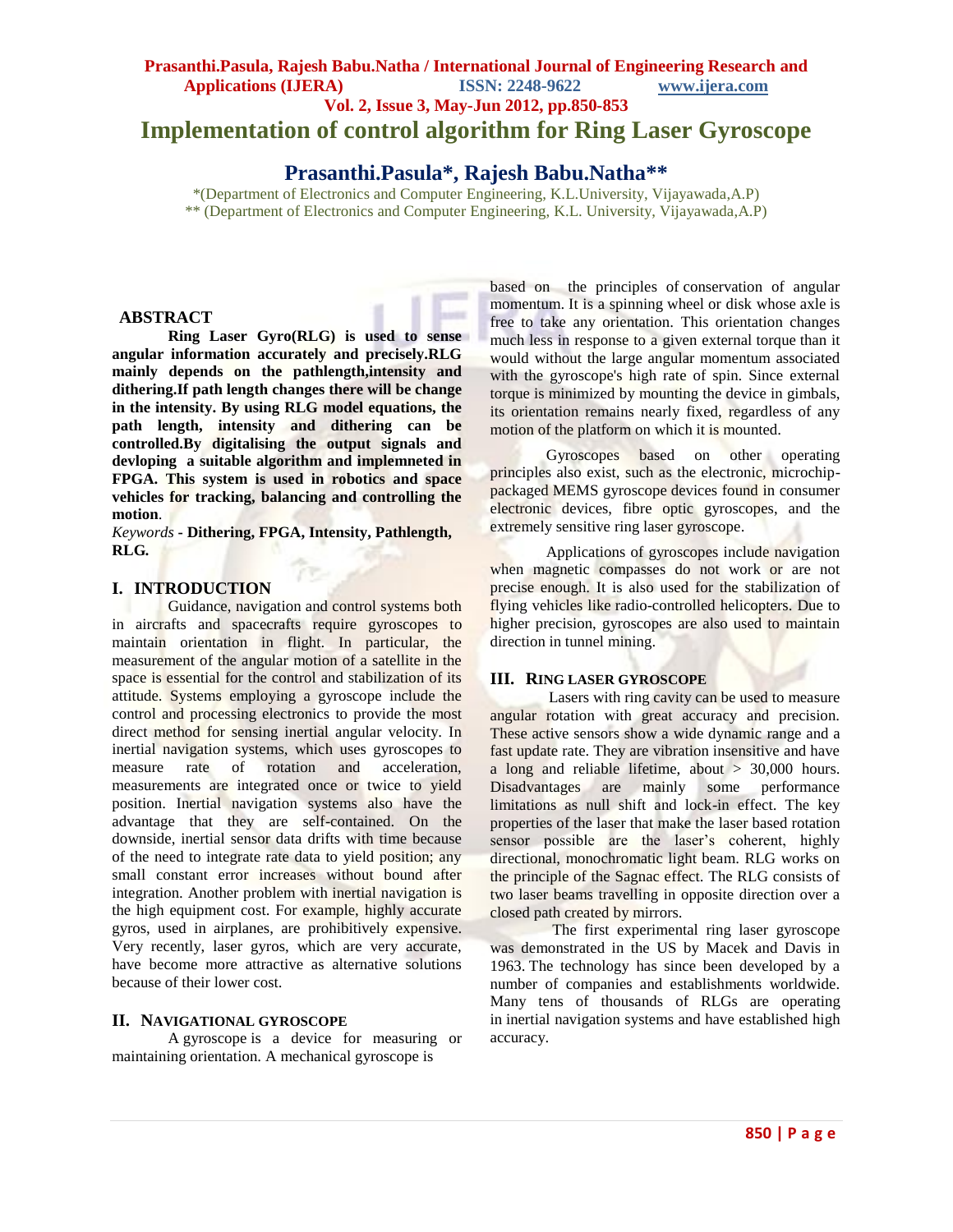# **Prasanthi.Pasula, Rajesh Babu.Natha / International Journal of Engineering Research and Applications (IJERA) ISSN: 2248-9622 www.ijera.com Vol. 2, Issue 3, May-Jun 2012, pp.850-853 Implementation of control algorithm for Ring Laser Gyroscope**

# **Prasanthi.Pasula\*, Rajesh Babu.Natha\*\***

\*(Department of Electronics and Computer Engineering, K.L.University, Vijayawada,A.P) \*\* (Department of Electronics and Computer Engineering, K.L. University, Vijayawada,A.P)

## **ABSTRACT**

**Ring Laser Gyro(RLG) is used to sense angular information accurately and precisely.RLG mainly depends on the pathlength,intensity and dithering.If path length changes there will be change in the intensity. By using RLG model equations, the path length, intensity and dithering can be controlled.By digitalising the output signals and devloping a suitable algorithm and implemneted in FPGA. This system is used in robotics and space vehicles for tracking, balancing and controlling the motion**.

*Keywords* **- Dithering, FPGA, Intensity, Pathlength, RLG***.*

## **I. INTRODUCTION**

Guidance, navigation and control systems both in aircrafts and spacecrafts require gyroscopes to maintain orientation in flight. In particular, the measurement of the angular motion of a satellite in the space is essential for the control and stabilization of its attitude. Systems employing a gyroscope include the control and processing electronics to provide the most direct method for sensing inertial angular velocity. In inertial navigation systems, which uses gyroscopes to measure rate of rotation and acceleration, measurements are integrated once or twice to yield position. Inertial navigation systems also have the advantage that they are self-contained. On the downside, inertial sensor data drifts with time because of the need to integrate rate data to yield position; any small constant error increases without bound after integration. Another problem with inertial navigation is the high equipment cost. For example, highly accurate gyros, used in airplanes, are prohibitively expensive. Very recently, laser gyros, which are very accurate, have become more attractive as alternative solutions because of their lower cost.

## **II. NAVIGATIONAL GYROSCOPE**

A gyroscope is a device for measuring or maintaining [orientation.](http://en.wikipedia.org/wiki/Orientation_%28rigid_body%29) A mechanical gyroscope is

based on the principles of [conservation of angular](http://en.wikipedia.org/wiki/Conservation_of_angular_momentum)  [momentum.](http://en.wikipedia.org/wiki/Conservation_of_angular_momentum) It is a spinning [wheel](http://en.wikipedia.org/wiki/Wheel) or disk whose [axle](http://en.wikipedia.org/wiki/Axle) is free to take any orientation. This orientation changes much less in response to a given external [torque](http://en.wikipedia.org/wiki/Torque) than it would without the large angular momentum associated with the gyroscope's high rate of spin. Since external torque is minimized by mounting the device in [gimbals,](http://en.wikipedia.org/wiki/Gimbal) its orientation remains nearly fixed, regardless of any motion of the platform on which it is mounted.

Gyroscopes based on other operating principles also exist, such as the electronic, microchippackaged [MEMS gyroscope](http://en.wikipedia.org/wiki/Vibrating_structure_gyroscope#MEMS_gyroscope) devices found in consumer electronic devices, [fibre optic gyroscopes,](http://en.wikipedia.org/wiki/Fibre_optic_gyroscope) and the extremely sensitive [ring laser](http://en.wikipedia.org/wiki/Ring_laser_gyroscope) [gyroscope.](http://en.wikipedia.org/wiki/Ring_laser_gyroscope)

Applications of gyroscopes include navigation when magnetic compasses do not work or are not precise enough. It is also used for the stabilization of flying vehicles like [radio-controlled helicopters.](http://en.wikipedia.org/wiki/Radio-controlled_helicopter) Due to higher precision, gyroscopes are also used to maintain direction in tunnel mining.

#### **III. RING LASER GYROSCOPE**

 Lasers with ring cavity can be used to measure angular rotation with great accuracy and precision. These active sensors show a wide dynamic range and a fast update rate. They are vibration insensitive and have a long and reliable lifetime, about > 30,000 hours. Disadvantages are mainly some performance limitations as null shift and lock-in effect. The key properties of the laser that make the laser based rotation sensor possible are the laser's coherent, highly directional, monochromatic light beam. RLG works on the principle of the Sagnac effect. The RLG consists of two laser beams travelling in opposite direction over a closed path created by mirrors.

 The first experimental ring laser gyroscope was demonstrated in the US by Macek and Davis in 1963. The technology has since been developed by a number of companies and establishments worldwide. Many tens of thousands of RLGs are operating in [inertial navigation systems](http://en.wikipedia.org/wiki/Inertial_navigation_system) and have established high accuracy.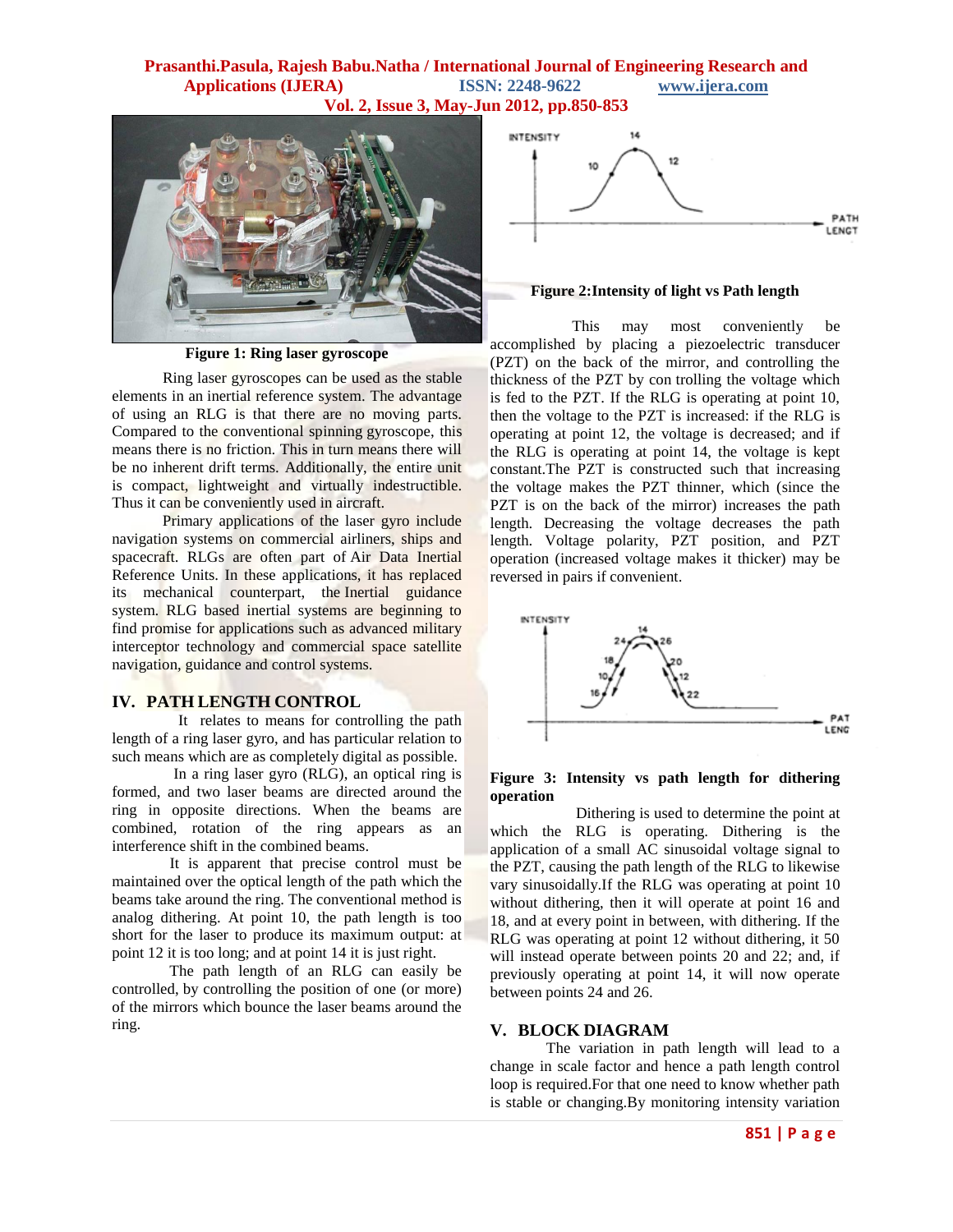## **Prasanthi.Pasula, Rajesh Babu.Natha / International Journal of Engineering Research and Applications (IJERA) ISSN: 2248-9622 www.ijera.com Vol. 2, Issue 3, May-Jun 2012, pp.850-853**



**Figure 1: Ring laser gyroscope**

 Ring laser gyroscopes can be used as the stable elements in an [inertial reference system.](http://en.wikipedia.org/wiki/Inertial_reference_system) The advantage of using an RLG is that there are no moving parts. Compared to the conventional spinning [gyroscope,](http://en.wikipedia.org/wiki/Gyroscope) this means there is no friction. This in turn means there will be no inherent drift terms. Additionally, the entire unit is compact, lightweight and virtually indestructible. Thus it can be conveniently used in aircraft.

 Primary applications of the laser gyro include navigation systems on commercial airliners, ships and spacecraft. RLGs are often part of [Air Data Inertial](http://en.wikipedia.org/wiki/Air_Data_Inertial_Reference_Unit)  [Reference Units.](http://en.wikipedia.org/wiki/Air_Data_Inertial_Reference_Unit) In these applications, it has replaced its mechanical counterpart, the [Inertial guidance](http://en.wikipedia.org/wiki/Inertial_guidance_system)  [system.](http://en.wikipedia.org/wiki/Inertial_guidance_system) RLG based inertial systems are beginning to find promise for applications such as advanced military interceptor technology and commercial space satellite navigation, guidance and control systems.

## **IV. PATH LENGTH CONTROL**

 It relates to means for controlling the path length of a ring laser gyro, and has particular relation to such means which are as completely digital as possible.

 In a ring laser gyro (RLG), an optical ring is formed, and two laser beams are directed around the ring in opposite directions. When the beams are combined, rotation of the ring appears as an interference shift in the combined beams.

 It is apparent that precise control must be maintained over the optical length of the path which the beams take around the ring. The conventional method is analog dithering. At point 10, the path length is too short for the laser to produce its maximum output: at point 12 it is too long; and at point 14 it is just right.

 The path length of an RLG can easily be controlled, by controlling the position of one (or more) of the mirrors which bounce the laser beams around the ring.



#### **Figure 2:Intensity of light vs Path length**

 This may most conveniently be accomplished by placing a piezoelectric transducer (PZT) on the back of the mirror, and controlling the thickness of the PZT by con trolling the voltage which is fed to the PZT. If the RLG is operating at point 10, then the voltage to the PZT is increased: if the RLG is operating at point 12, the voltage is decreased; and if the RLG is operating at point 14, the voltage is kept constant.The PZT is constructed such that increasing the voltage makes the PZT thinner, which (since the PZT is on the back of the mirror) increases the path length. Decreasing the voltage decreases the path length. Voltage polarity, PZT position, and PZT operation (increased voltage makes it thicker) may be reversed in pairs if convenient.



### **Figure 3: Intensity vs path length for dithering operation**

 Dithering is used to determine the point at which the RLG is operating. Dithering is the application of a small AC sinusoidal voltage signal to the PZT, causing the path length of the RLG to likewise vary sinusoidally.If the RLG was operating at point 10 without dithering, then it will operate at point 16 and 18, and at every point in between, with dithering. If the RLG was operating at point 12 without dithering, it 50 will instead operate between points 20 and 22; and, if previously operating at point 14, it will now operate between points 24 and 26.

## **V. BLOCK DIAGRAM**

The variation in path length will lead to a change in scale factor and hence a path length control loop is required.For that one need to know whether path is stable or changing.By monitoring intensity variation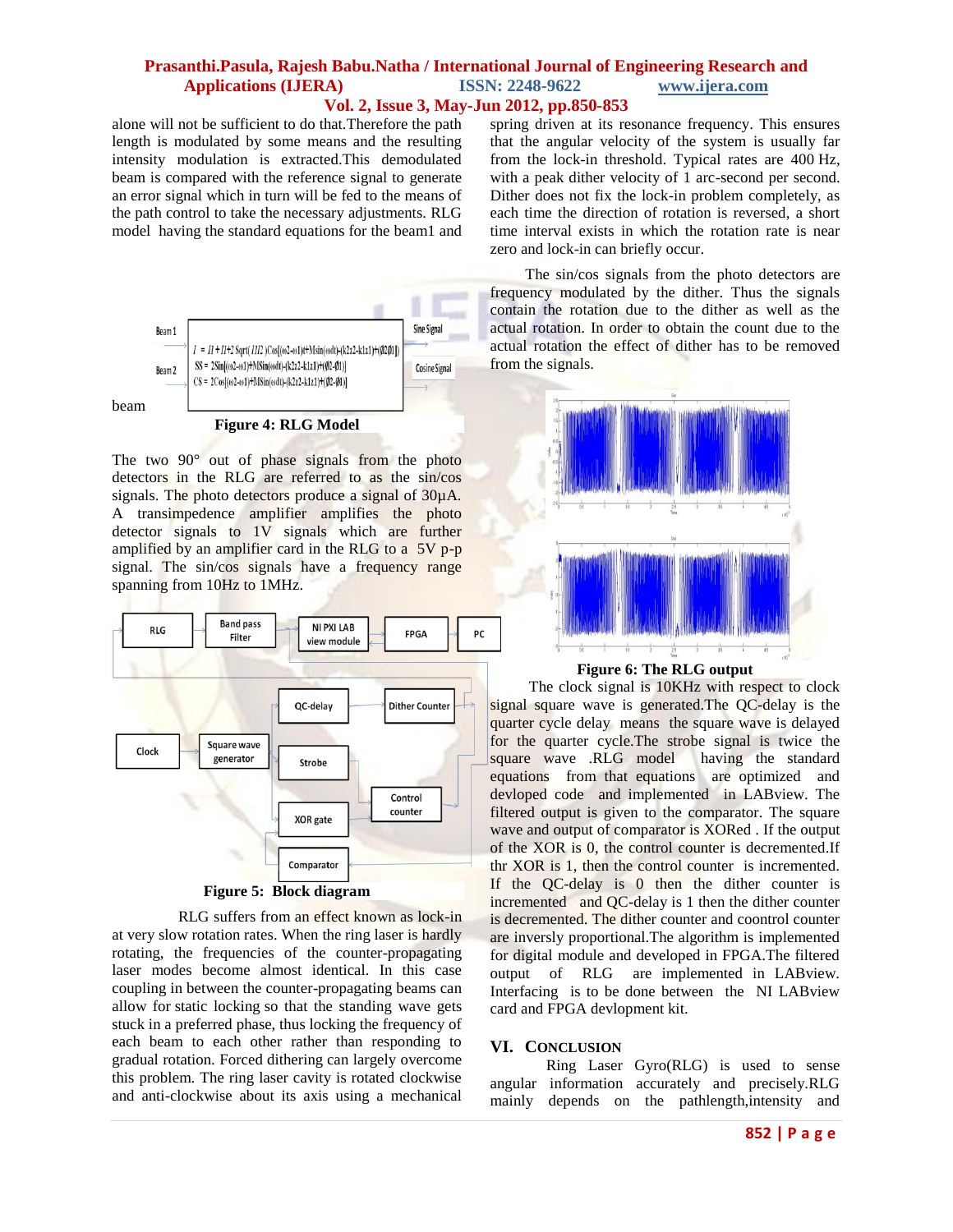## **Prasanthi.Pasula, Rajesh Babu.Natha / International Journal of Engineering Research and <br>Applications (IJERA)** ISSN: 2248-9622 www.ijera.com **Applications (IJERA) ISSN: 2248-9622 www.ijera.com Vol. 2, Issue 3, May-Jun 2012, pp.850-853**

alone will not be sufficient to do that.Therefore the path length is modulated by some means and the resulting intensity modulation is extracted.This demodulated beam is compared with the reference signal to generate an error signal which in turn will be fed to the means of the path control to take the necessary adjustments. RLG model having the standard equations for the beam1 and



The two 90° out of phase signals from the photo detectors in the RLG are referred to as the sin/cos signals. The photo detectors produce a signal of  $30\mu$ A. A transimpedence amplifier amplifies the photo detector signals to 1V signals which are further amplified by an amplifier card in the RLG to a 5V p-p signal. The sin/cos signals have a frequency range spanning from 10Hz to 1MHz.



#### **Figure 5: Block diagram**

 RLG suffers from an effect known as lock-in at very slow rotation rates. When the ring laser is hardly rotating, the frequencies of the counter-propagating laser modes become almost identical. In this case coupling in between the counter-propagating beams can allow for [static locking](http://en.wikipedia.org/wiki/Injection_locking) so that the standing wave gets stuck in a preferred phase, thus locking the frequency of each beam to each other rather than responding to gradual rotation. Forced [dithering](http://en.wikipedia.org/wiki/Dithering) can largely overcome this problem. The ring laser cavity is rotated clockwise and anti-clockwise about its axis using a mechanical

spring driven at its resonance frequency. This ensures that the angular velocity of the system is usually far from the lock-in threshold. Typical rates are 400 Hz, with a peak dither velocity of 1 arc-second per second. Dither does not fix the lock-in problem completely, as each time the direction of rotation is reversed, a short time interval exists in which the rotation rate is near zero and lock-in can briefly occur.

The sin/cos signals from the photo detectors are frequency modulated by the dither. Thus the signals contain the rotation due to the dither as well as the actual rotation. In order to obtain the count due to the actual rotation the effect of dither has to be removed from the signals.



**Figure 6: The RLG output**

 The clock signal is 10KHz with respect to clock signal square wave is generated. The QC-delay is the quarter cycle delay means the square wave is delayed for the quarter cycle.The strobe signal is twice the square wave .RLG model having the standard equations from that equations are optimized and devloped code and implemented in LABview. The filtered output is given to the comparator. The square wave and output of comparator is XORed . If the output of the XOR is 0, the control counter is decremented.If thr XOR is 1, then the control counter is incremented. If the QC-delay is 0 then the dither counter is incremented and QC-delay is 1 then the dither counter is decremented. The dither counter and coontrol counter are inversly proportional.The algorithm is implemented for digital module and developed in FPGA.The filtered output of RLG are implemented in LABview. Interfacing is to be done between the NI LABview card and FPGA devlopment kit.

#### **VI. CONCLUSION**

Ring Laser Gyro(RLG) is used to sense angular information accurately and precisely.RLG mainly depends on the pathlength,intensity and